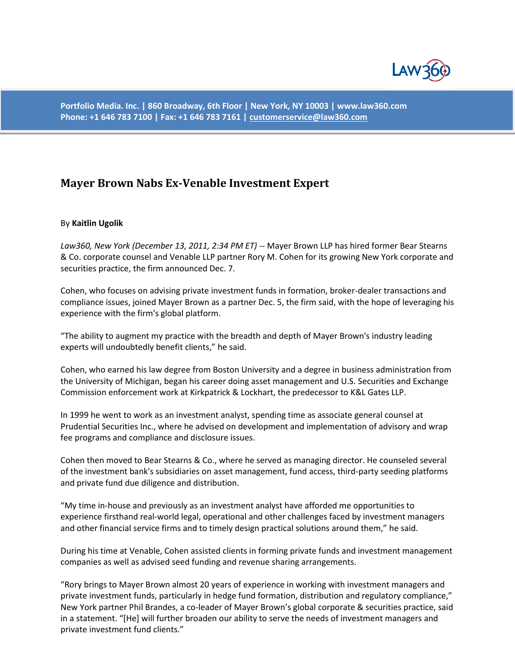

**Portfolio Media. Inc. | 860 Broadway, 6th Floor | New York, NY 10003 | www.law360.com Phone: +1 646 783 7100 | Fax: +1 646 783 7161 [| customerservice@law360.com](mailto:customerservice@law360.com)**

## **Mayer Brown Nabs Ex-Venable Investment Expert**

## By **Kaitlin Ugolik**

*Law360, New York (December 13, 2011, 2:34 PM ET)* -- Mayer Brown LLP has hired former Bear Stearns & Co. corporate counsel and Venable LLP partner Rory M. Cohen for its growing New York corporate and securities practice, the firm announced Dec. 7.

Cohen, who focuses on advising private investment funds in formation, broker-dealer transactions and compliance issues, joined Mayer Brown as a partner Dec. 5, the firm said, with the hope of leveraging his experience with the firm's global platform.

"The ability to augment my practice with the breadth and depth of Mayer Brown's industry leading experts will undoubtedly benefit clients," he said.

Cohen, who earned his law degree from Boston University and a degree in business administration from the University of Michigan, began his career doing asset management and U.S. Securities and Exchange Commission enforcement work at Kirkpatrick & Lockhart, the predecessor to K&L Gates LLP.

In 1999 he went to work as an investment analyst, spending time as associate general counsel at Prudential Securities Inc., where he advised on development and implementation of advisory and wrap fee programs and compliance and disclosure issues.

Cohen then moved to Bear Stearns & Co., where he served as managing director. He counseled several of the investment bank's subsidiaries on asset management, fund access, third-party seeding platforms and private fund due diligence and distribution.

"My time in-house and previously as an investment analyst have afforded me opportunities to experience firsthand real-world legal, operational and other challenges faced by investment managers and other financial service firms and to timely design practical solutions around them," he said.

During his time at Venable, Cohen assisted clients in forming private funds and investment management companies as well as advised seed funding and revenue sharing arrangements.

"Rory brings to Mayer Brown almost 20 years of experience in working with investment managers and private investment funds, particularly in hedge fund formation, distribution and regulatory compliance," New York partner Phil Brandes, a co-leader of Mayer Brown's global corporate & securities practice, said in a statement. "[He] will further broaden our ability to serve the needs of investment managers and private investment fund clients."